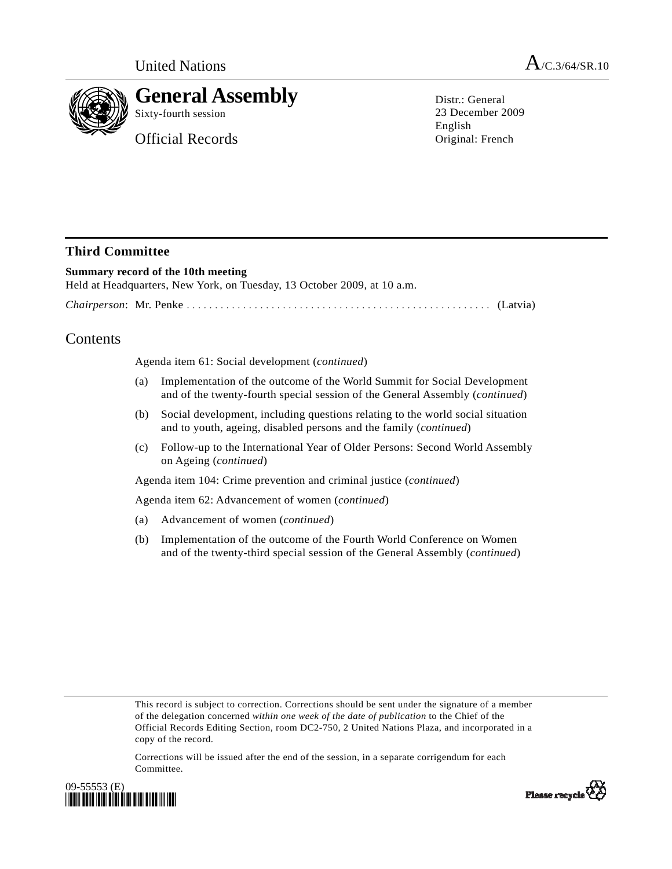

# **General Assembly**

Sixty-fourth session

Official Records

Distr · General 23 December 2009 English Original: French

## **Third Committee**

### **Summary record of the 10th meeting**  Held at Headquarters, New York, on Tuesday, 13 October 2009, at 10 a.m. *Chairperson*: Mr. Penke ...................................................... (Latvia)

## Contents

Agenda item 61: Social development (*continued*)

- (a) Implementation of the outcome of the World Summit for Social Development and of the twenty-fourth special session of the General Assembly (*continued*)
- (b) Social development, including questions relating to the world social situation and to youth, ageing, disabled persons and the family (*continued*)
- (c) Follow-up to the International Year of Older Persons: Second World Assembly on Ageing (*continued*)

Agenda item 104: Crime prevention and criminal justice (*continued*)

Agenda item 62: Advancement of women (*continued*)

- (a) Advancement of women (*continued*)
- (b) Implementation of the outcome of the Fourth World Conference on Women and of the twenty-third special session of the General Assembly (*continued*)

This record is subject to correction. Corrections should be sent under the signature of a member of the delegation concerned *within one week of the date of publication* to the Chief of the Official Records Editing Section, room DC2-750, 2 United Nations Plaza, and incorporated in a copy of the record.

Corrections will be issued after the end of the session, in a separate corrigendum for each Committee.



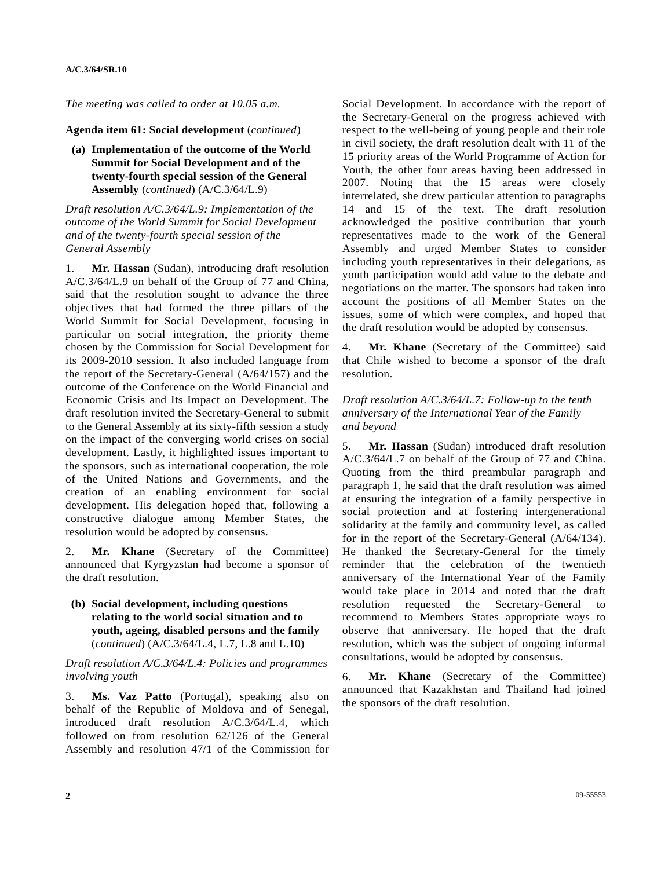*The meeting was called to order at 10.05 a.m.* 

**Agenda item 61: Social development** (*continued*)

 **(a) Implementation of the outcome of the World Summit for Social Development and of the twenty-fourth special session of the General Assembly** (*continued*) (A/C.3/64/L.9)

*Draft resolution A/C.3/64/L.9: Implementation of the outcome of the World Summit for Social Development and of the twenty-fourth special session of the General Assembly* 

1. **Mr. Hassan** (Sudan), introducing draft resolution A/C.3/64/L.9 on behalf of the Group of 77 and China, said that the resolution sought to advance the three objectives that had formed the three pillars of the World Summit for Social Development, focusing in particular on social integration, the priority theme chosen by the Commission for Social Development for its 2009-2010 session. It also included language from the report of the Secretary-General (A/64/157) and the outcome of the Conference on the World Financial and Economic Crisis and Its Impact on Development. The draft resolution invited the Secretary-General to submit to the General Assembly at its sixty-fifth session a study on the impact of the converging world crises on social development. Lastly, it highlighted issues important to the sponsors, such as international cooperation, the role of the United Nations and Governments, and the creation of an enabling environment for social development. His delegation hoped that, following a constructive dialogue among Member States, the resolution would be adopted by consensus.

2. **Mr. Khane** (Secretary of the Committee) announced that Kyrgyzstan had become a sponsor of the draft resolution.

 **(b) Social development, including questions relating to the world social situation and to youth, ageing, disabled persons and the family**  (*continued*) (A/C.3/64/L.4, L.7, L.8 and L.10)

*Draft resolution A/C.3/64/L.4: Policies and programmes involving youth* 

3. **Ms. Vaz Patto** (Portugal), speaking also on behalf of the Republic of Moldova and of Senegal, introduced draft resolution A/C.3/64/L.4, which followed on from resolution 62/126 of the General Assembly and resolution 47/1 of the Commission for Social Development. In accordance with the report of the Secretary-General on the progress achieved with respect to the well-being of young people and their role in civil society, the draft resolution dealt with 11 of the 15 priority areas of the World Programme of Action for Youth, the other four areas having been addressed in 2007. Noting that the 15 areas were closely interrelated, she drew particular attention to paragraphs 14 and 15 of the text. The draft resolution acknowledged the positive contribution that youth representatives made to the work of the General Assembly and urged Member States to consider including youth representatives in their delegations, as youth participation would add value to the debate and negotiations on the matter. The sponsors had taken into account the positions of all Member States on the issues, some of which were complex, and hoped that the draft resolution would be adopted by consensus.

4. **Mr. Khane** (Secretary of the Committee) said that Chile wished to become a sponsor of the draft resolution.

*Draft resolution A/C.3/64/L.7: Follow-up to the tenth anniversary of the International Year of the Family and beyond* 

5. **Mr. Hassan** (Sudan) introduced draft resolution A/C.3/64/L.7 on behalf of the Group of 77 and China. Quoting from the third preambular paragraph and paragraph 1, he said that the draft resolution was aimed at ensuring the integration of a family perspective in social protection and at fostering intergenerational solidarity at the family and community level, as called for in the report of the Secretary-General (A/64/134). He thanked the Secretary-General for the timely reminder that the celebration of the twentieth anniversary of the International Year of the Family would take place in 2014 and noted that the draft resolution requested the Secretary-General recommend to Members States appropriate ways to observe that anniversary. He hoped that the draft resolution, which was the subject of ongoing informal consultations, would be adopted by consensus.

6. **Mr. Khane** (Secretary of the Committee) announced that Kazakhstan and Thailand had joined the sponsors of the draft resolution.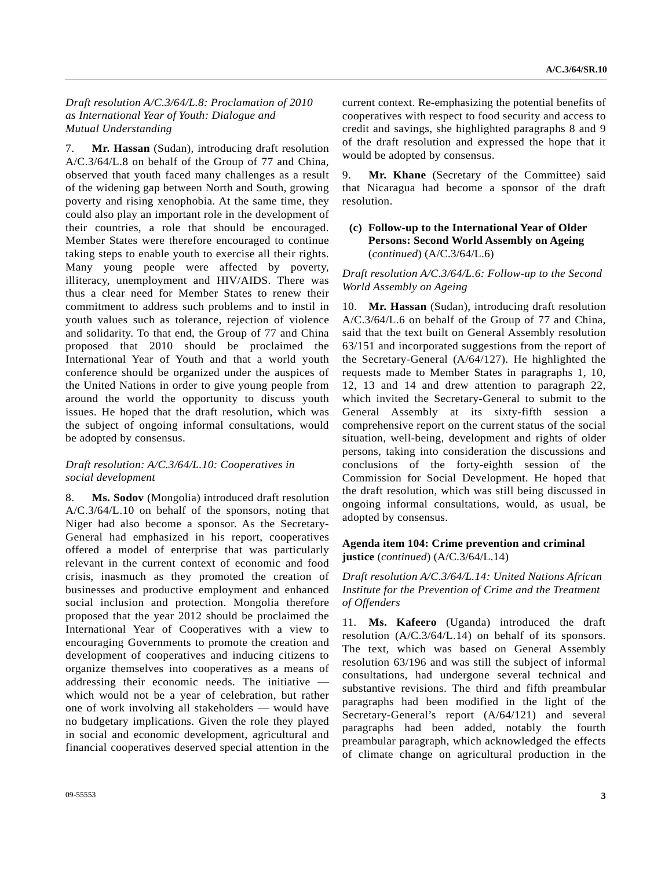#### *Draft resolution A/C.3/64/L.8: Proclamation of 2010 as International Year of Youth: Dialogue and Mutual Understanding*

7. **Mr. Hassan** (Sudan), introducing draft resolution A/C.3/64/L.8 on behalf of the Group of 77 and China, observed that youth faced many challenges as a result of the widening gap between North and South, growing poverty and rising xenophobia. At the same time, they could also play an important role in the development of their countries, a role that should be encouraged. Member States were therefore encouraged to continue taking steps to enable youth to exercise all their rights. Many young people were affected by poverty, illiteracy, unemployment and HIV/AIDS. There was thus a clear need for Member States to renew their commitment to address such problems and to instil in youth values such as tolerance, rejection of violence and solidarity. To that end, the Group of 77 and China proposed that 2010 should be proclaimed the International Year of Youth and that a world youth conference should be organized under the auspices of the United Nations in order to give young people from around the world the opportunity to discuss youth issues. He hoped that the draft resolution, which was the subject of ongoing informal consultations, would be adopted by consensus.

#### *Draft resolution: A/C.3/64/L.10: Cooperatives in social development*

8. **Ms. Sodov** (Mongolia) introduced draft resolution A/C.3/64/L.10 on behalf of the sponsors, noting that Niger had also become a sponsor. As the Secretary-General had emphasized in his report, cooperatives offered a model of enterprise that was particularly relevant in the current context of economic and food crisis, inasmuch as they promoted the creation of businesses and productive employment and enhanced social inclusion and protection. Mongolia therefore proposed that the year 2012 should be proclaimed the International Year of Cooperatives with a view to encouraging Governments to promote the creation and development of cooperatives and inducing citizens to organize themselves into cooperatives as a means of addressing their economic needs. The initiative which would not be a year of celebration, but rather one of work involving all stakeholders — would have no budgetary implications. Given the role they played in social and economic development, agricultural and financial cooperatives deserved special attention in the

current context. Re-emphasizing the potential benefits of cooperatives with respect to food security and access to credit and savings, she highlighted paragraphs 8 and 9 of the draft resolution and expressed the hope that it would be adopted by consensus.

9. **Mr. Khane** (Secretary of the Committee) said that Nicaragua had become a sponsor of the draft resolution.

#### **(c) Follow-up to the International Year of Older Persons: Second World Assembly on Ageing**  (*continued*) (A/C.3/64/L.6)

*Draft resolution A/C.3/64/L.6: Follow-up to the Second World Assembly on Ageing* 

10. **Mr. Hassan** (Sudan), introducing draft resolution A/C.3/64/L.6 on behalf of the Group of 77 and China, said that the text built on General Assembly resolution 63/151 and incorporated suggestions from the report of the Secretary-General (A/64/127). He highlighted the requests made to Member States in paragraphs 1, 10, 12, 13 and 14 and drew attention to paragraph 22, which invited the Secretary-General to submit to the General Assembly at its sixty-fifth session a comprehensive report on the current status of the social situation, well-being, development and rights of older persons, taking into consideration the discussions and conclusions of the forty-eighth session of the Commission for Social Development. He hoped that the draft resolution, which was still being discussed in ongoing informal consultations, would, as usual, be adopted by consensus.

#### **Agenda item 104: Crime prevention and criminal justice** (*continued*) (A/C.3/64/L.14)

*Draft resolution A/C.3/64/L.14: United Nations African Institute for the Prevention of Crime and the Treatment of Offenders* 

11. **Ms. Kafeero** (Uganda) introduced the draft resolution (A/C.3/64/L.14) on behalf of its sponsors. The text, which was based on General Assembly resolution 63/196 and was still the subject of informal consultations, had undergone several technical and substantive revisions. The third and fifth preambular paragraphs had been modified in the light of the Secretary-General's report (A/64/121) and several paragraphs had been added, notably the fourth preambular paragraph, which acknowledged the effects of climate change on agricultural production in the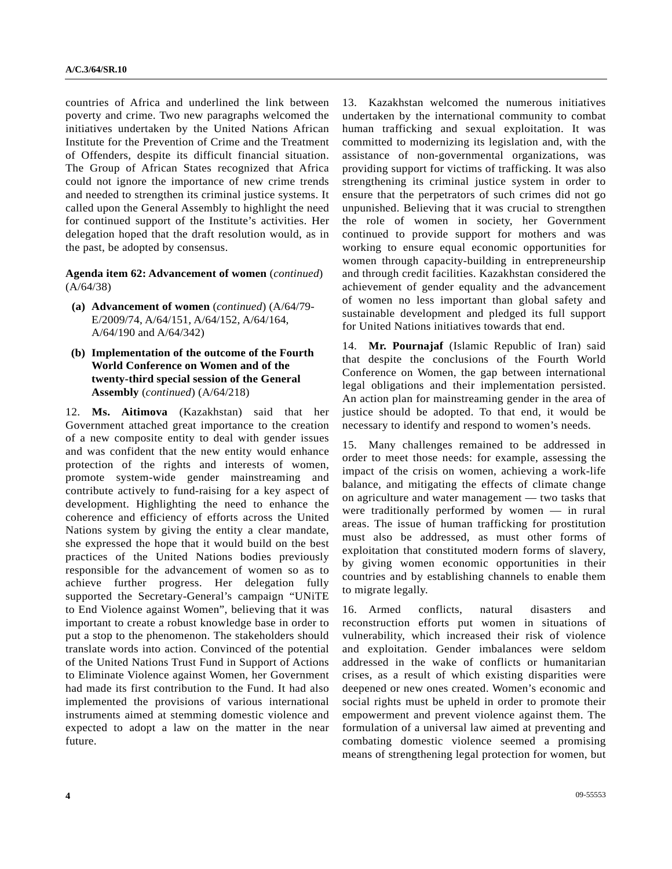countries of Africa and underlined the link between poverty and crime. Two new paragraphs welcomed the initiatives undertaken by the United Nations African Institute for the Prevention of Crime and the Treatment of Offenders, despite its difficult financial situation. The Group of African States recognized that Africa could not ignore the importance of new crime trends and needed to strengthen its criminal justice systems. It called upon the General Assembly to highlight the need for continued support of the Institute's activities. Her delegation hoped that the draft resolution would, as in the past, be adopted by consensus.

**Agenda item 62: Advancement of women** (*continued*) (A/64/38)

- **(a) Advancement of women** (*continued*) (A/64/79- E/2009/74, A/64/151, A/64/152, A/64/164, A/64/190 and A/64/342)
- **(b) Implementation of the outcome of the Fourth World Conference on Women and of the twenty-third special session of the General Assembly** (*continued*) (A/64/218)

12. **Ms. Aitimova** (Kazakhstan) said that her Government attached great importance to the creation of a new composite entity to deal with gender issues and was confident that the new entity would enhance protection of the rights and interests of women, promote system-wide gender mainstreaming and contribute actively to fund-raising for a key aspect of development. Highlighting the need to enhance the coherence and efficiency of efforts across the United Nations system by giving the entity a clear mandate, she expressed the hope that it would build on the best practices of the United Nations bodies previously responsible for the advancement of women so as to achieve further progress. Her delegation fully supported the Secretary-General's campaign "UNiTE to End Violence against Women", believing that it was important to create a robust knowledge base in order to put a stop to the phenomenon. The stakeholders should translate words into action. Convinced of the potential of the United Nations Trust Fund in Support of Actions to Eliminate Violence against Women, her Government had made its first contribution to the Fund. It had also implemented the provisions of various international instruments aimed at stemming domestic violence and expected to adopt a law on the matter in the near future.

13. Kazakhstan welcomed the numerous initiatives undertaken by the international community to combat human trafficking and sexual exploitation. It was committed to modernizing its legislation and, with the assistance of non-governmental organizations, was providing support for victims of trafficking. It was also strengthening its criminal justice system in order to ensure that the perpetrators of such crimes did not go unpunished. Believing that it was crucial to strengthen the role of women in society, her Government continued to provide support for mothers and was working to ensure equal economic opportunities for women through capacity-building in entrepreneurship and through credit facilities. Kazakhstan considered the achievement of gender equality and the advancement of women no less important than global safety and sustainable development and pledged its full support for United Nations initiatives towards that end.

14. **Mr. Pournajaf** (Islamic Republic of Iran) said that despite the conclusions of the Fourth World Conference on Women, the gap between international legal obligations and their implementation persisted. An action plan for mainstreaming gender in the area of justice should be adopted. To that end, it would be necessary to identify and respond to women's needs.

15. Many challenges remained to be addressed in order to meet those needs: for example, assessing the impact of the crisis on women, achieving a work-life balance, and mitigating the effects of climate change on agriculture and water management — two tasks that were traditionally performed by women — in rural areas. The issue of human trafficking for prostitution must also be addressed, as must other forms of exploitation that constituted modern forms of slavery, by giving women economic opportunities in their countries and by establishing channels to enable them to migrate legally.

16. Armed conflicts, natural disasters and reconstruction efforts put women in situations of vulnerability, which increased their risk of violence and exploitation. Gender imbalances were seldom addressed in the wake of conflicts or humanitarian crises, as a result of which existing disparities were deepened or new ones created. Women's economic and social rights must be upheld in order to promote their empowerment and prevent violence against them. The formulation of a universal law aimed at preventing and combating domestic violence seemed a promising means of strengthening legal protection for women, but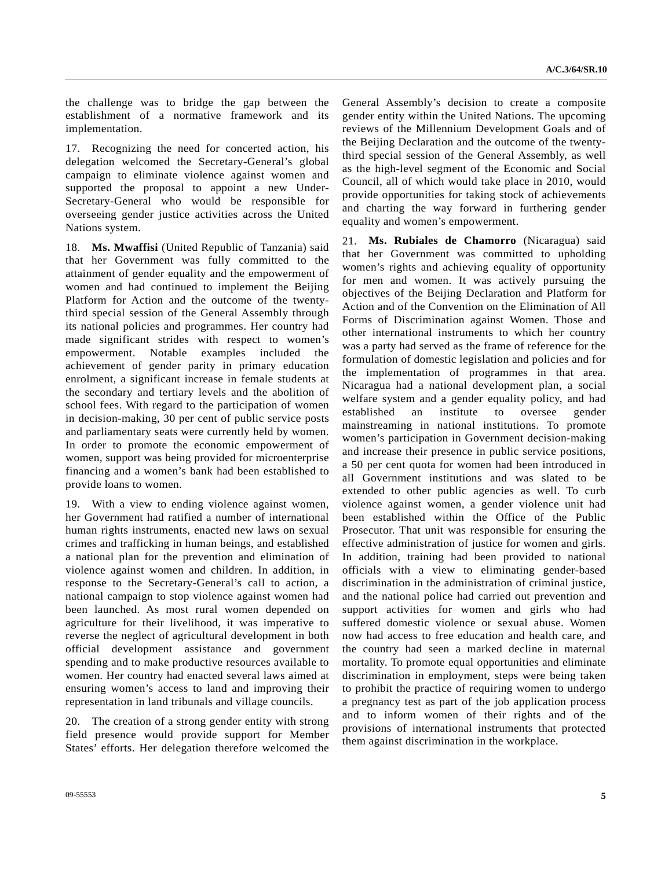the challenge was to bridge the gap between the establishment of a normative framework and its implementation.

17. Recognizing the need for concerted action, his delegation welcomed the Secretary-General's global campaign to eliminate violence against women and supported the proposal to appoint a new Under-Secretary-General who would be responsible for overseeing gender justice activities across the United Nations system.

18. **Ms. Mwaffisi** (United Republic of Tanzania) said that her Government was fully committed to the attainment of gender equality and the empowerment of women and had continued to implement the Beijing Platform for Action and the outcome of the twentythird special session of the General Assembly through its national policies and programmes. Her country had made significant strides with respect to women's empowerment. Notable examples included the achievement of gender parity in primary education enrolment, a significant increase in female students at the secondary and tertiary levels and the abolition of school fees. With regard to the participation of women in decision-making, 30 per cent of public service posts and parliamentary seats were currently held by women. In order to promote the economic empowerment of women, support was being provided for microenterprise financing and a women's bank had been established to provide loans to women.

19. With a view to ending violence against women, her Government had ratified a number of international human rights instruments, enacted new laws on sexual crimes and trafficking in human beings, and established a national plan for the prevention and elimination of violence against women and children. In addition, in response to the Secretary-General's call to action, a national campaign to stop violence against women had been launched. As most rural women depended on agriculture for their livelihood, it was imperative to reverse the neglect of agricultural development in both official development assistance and government spending and to make productive resources available to women. Her country had enacted several laws aimed at ensuring women's access to land and improving their representation in land tribunals and village councils.

20. The creation of a strong gender entity with strong field presence would provide support for Member States' efforts. Her delegation therefore welcomed the

General Assembly's decision to create a composite gender entity within the United Nations. The upcoming reviews of the Millennium Development Goals and of the Beijing Declaration and the outcome of the twentythird special session of the General Assembly, as well as the high-level segment of the Economic and Social Council, all of which would take place in 2010, would provide opportunities for taking stock of achievements and charting the way forward in furthering gender equality and women's empowerment.

21. **Ms. Rubiales de Chamorro** (Nicaragua) said that her Government was committed to upholding women's rights and achieving equality of opportunity for men and women. It was actively pursuing the objectives of the Beijing Declaration and Platform for Action and of the Convention on the Elimination of All Forms of Discrimination against Women. Those and other international instruments to which her country was a party had served as the frame of reference for the formulation of domestic legislation and policies and for the implementation of programmes in that area. Nicaragua had a national development plan, a social welfare system and a gender equality policy, and had established an institute to oversee gender mainstreaming in national institutions. To promote women's participation in Government decision-making and increase their presence in public service positions, a 50 per cent quota for women had been introduced in all Government institutions and was slated to be extended to other public agencies as well. To curb violence against women, a gender violence unit had been established within the Office of the Public Prosecutor. That unit was responsible for ensuring the effective administration of justice for women and girls. In addition, training had been provided to national officials with a view to eliminating gender-based discrimination in the administration of criminal justice, and the national police had carried out prevention and support activities for women and girls who had suffered domestic violence or sexual abuse. Women now had access to free education and health care, and the country had seen a marked decline in maternal mortality. To promote equal opportunities and eliminate discrimination in employment, steps were being taken to prohibit the practice of requiring women to undergo a pregnancy test as part of the job application process and to inform women of their rights and of the provisions of international instruments that protected them against discrimination in the workplace.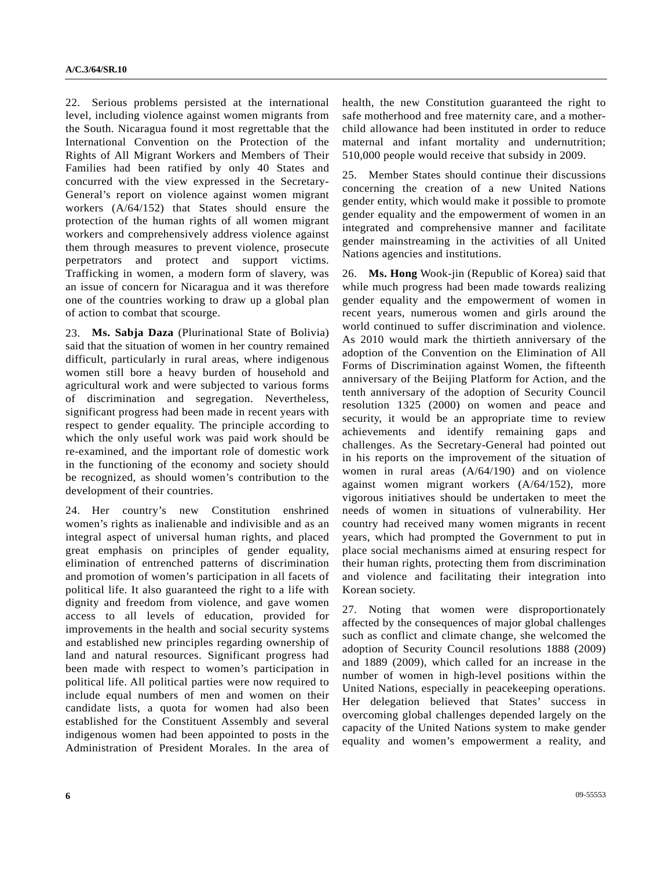22. Serious problems persisted at the international level, including violence against women migrants from the South. Nicaragua found it most regrettable that the International Convention on the Protection of the Rights of All Migrant Workers and Members of Their Families had been ratified by only 40 States and concurred with the view expressed in the Secretary-General's report on violence against women migrant workers (A/64/152) that States should ensure the protection of the human rights of all women migrant workers and comprehensively address violence against them through measures to prevent violence, prosecute perpetrators and protect and support victims. Trafficking in women, a modern form of slavery, was an issue of concern for Nicaragua and it was therefore one of the countries working to draw up a global plan of action to combat that scourge.

23. **Ms. Sabja Daza** (Plurinational State of Bolivia) said that the situation of women in her country remained difficult, particularly in rural areas, where indigenous women still bore a heavy burden of household and agricultural work and were subjected to various forms of discrimination and segregation. Nevertheless, significant progress had been made in recent years with respect to gender equality. The principle according to which the only useful work was paid work should be re-examined, and the important role of domestic work in the functioning of the economy and society should be recognized, as should women's contribution to the development of their countries.

24. Her country's new Constitution enshrined women's rights as inalienable and indivisible and as an integral aspect of universal human rights, and placed great emphasis on principles of gender equality, elimination of entrenched patterns of discrimination and promotion of women's participation in all facets of political life. It also guaranteed the right to a life with dignity and freedom from violence, and gave women access to all levels of education, provided for improvements in the health and social security systems and established new principles regarding ownership of land and natural resources. Significant progress had been made with respect to women's participation in political life. All political parties were now required to include equal numbers of men and women on their candidate lists, a quota for women had also been established for the Constituent Assembly and several indigenous women had been appointed to posts in the Administration of President Morales. In the area of

health, the new Constitution guaranteed the right to safe motherhood and free maternity care, and a motherchild allowance had been instituted in order to reduce maternal and infant mortality and undernutrition; 510,000 people would receive that subsidy in 2009.

25. Member States should continue their discussions concerning the creation of a new United Nations gender entity, which would make it possible to promote gender equality and the empowerment of women in an integrated and comprehensive manner and facilitate gender mainstreaming in the activities of all United Nations agencies and institutions.

26. **Ms. Hong** Wook-jin (Republic of Korea) said that while much progress had been made towards realizing gender equality and the empowerment of women in recent years, numerous women and girls around the world continued to suffer discrimination and violence. As 2010 would mark the thirtieth anniversary of the adoption of the Convention on the Elimination of All Forms of Discrimination against Women, the fifteenth anniversary of the Beijing Platform for Action, and the tenth anniversary of the adoption of Security Council resolution 1325 (2000) on women and peace and security, it would be an appropriate time to review achievements and identify remaining gaps and challenges. As the Secretary-General had pointed out in his reports on the improvement of the situation of women in rural areas (A/64/190) and on violence against women migrant workers (A/64/152), more vigorous initiatives should be undertaken to meet the needs of women in situations of vulnerability. Her country had received many women migrants in recent years, which had prompted the Government to put in place social mechanisms aimed at ensuring respect for their human rights, protecting them from discrimination and violence and facilitating their integration into Korean society.

27. Noting that women were disproportionately affected by the consequences of major global challenges such as conflict and climate change, she welcomed the adoption of Security Council resolutions 1888 (2009) and 1889 (2009), which called for an increase in the number of women in high-level positions within the United Nations, especially in peacekeeping operations. Her delegation believed that States' success in overcoming global challenges depended largely on the capacity of the United Nations system to make gender equality and women's empowerment a reality, and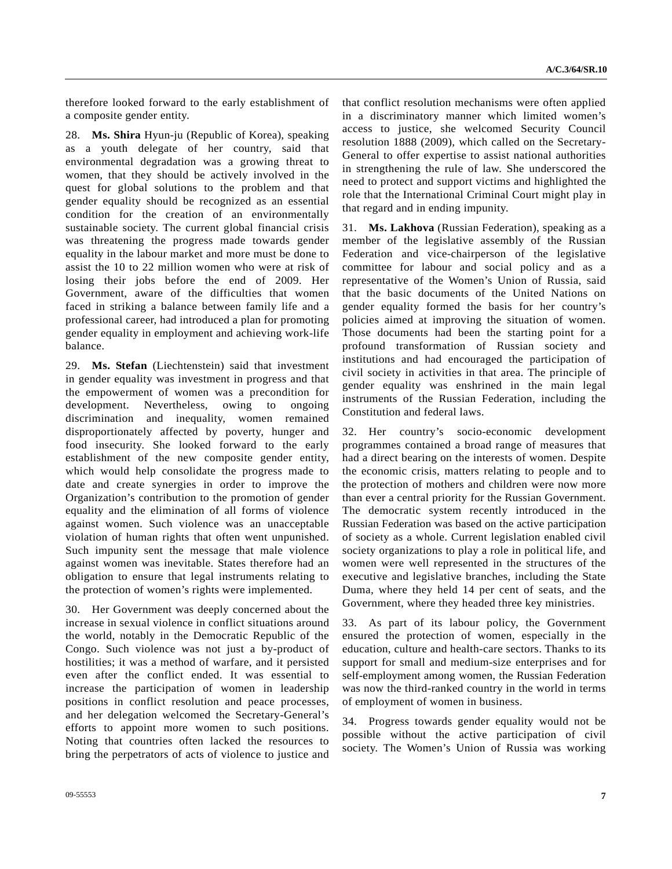therefore looked forward to the early establishment of a composite gender entity.

28. **Ms. Shira** Hyun-ju (Republic of Korea), speaking as a youth delegate of her country, said that environmental degradation was a growing threat to women, that they should be actively involved in the quest for global solutions to the problem and that gender equality should be recognized as an essential condition for the creation of an environmentally sustainable society. The current global financial crisis was threatening the progress made towards gender equality in the labour market and more must be done to assist the 10 to 22 million women who were at risk of losing their jobs before the end of 2009. Her Government, aware of the difficulties that women faced in striking a balance between family life and a professional career, had introduced a plan for promoting gender equality in employment and achieving work-life balance.

29. **Ms. Stefan** (Liechtenstein) said that investment in gender equality was investment in progress and that the empowerment of women was a precondition for development. Nevertheless, owing to ongoing discrimination and inequality, women remained disproportionately affected by poverty, hunger and food insecurity. She looked forward to the early establishment of the new composite gender entity, which would help consolidate the progress made to date and create synergies in order to improve the Organization's contribution to the promotion of gender equality and the elimination of all forms of violence against women. Such violence was an unacceptable violation of human rights that often went unpunished. Such impunity sent the message that male violence against women was inevitable. States therefore had an obligation to ensure that legal instruments relating to the protection of women's rights were implemented.

30. Her Government was deeply concerned about the increase in sexual violence in conflict situations around the world, notably in the Democratic Republic of the Congo. Such violence was not just a by-product of hostilities; it was a method of warfare, and it persisted even after the conflict ended. It was essential to increase the participation of women in leadership positions in conflict resolution and peace processes, and her delegation welcomed the Secretary-General's efforts to appoint more women to such positions. Noting that countries often lacked the resources to bring the perpetrators of acts of violence to justice and

that conflict resolution mechanisms were often applied in a discriminatory manner which limited women's access to justice, she welcomed Security Council resolution 1888 (2009), which called on the Secretary-General to offer expertise to assist national authorities in strengthening the rule of law. She underscored the need to protect and support victims and highlighted the role that the International Criminal Court might play in that regard and in ending impunity.

31. **Ms. Lakhova** (Russian Federation), speaking as a member of the legislative assembly of the Russian Federation and vice-chairperson of the legislative committee for labour and social policy and as a representative of the Women's Union of Russia, said that the basic documents of the United Nations on gender equality formed the basis for her country's policies aimed at improving the situation of women. Those documents had been the starting point for a profound transformation of Russian society and institutions and had encouraged the participation of civil society in activities in that area. The principle of gender equality was enshrined in the main legal instruments of the Russian Federation, including the Constitution and federal laws.

32. Her country's socio-economic development programmes contained a broad range of measures that had a direct bearing on the interests of women. Despite the economic crisis, matters relating to people and to the protection of mothers and children were now more than ever a central priority for the Russian Government. The democratic system recently introduced in the Russian Federation was based on the active participation of society as a whole. Current legislation enabled civil society organizations to play a role in political life, and women were well represented in the structures of the executive and legislative branches, including the State Duma, where they held 14 per cent of seats, and the Government, where they headed three key ministries.

33. As part of its labour policy, the Government ensured the protection of women, especially in the education, culture and health-care sectors. Thanks to its support for small and medium-size enterprises and for self-employment among women, the Russian Federation was now the third-ranked country in the world in terms of employment of women in business.

34. Progress towards gender equality would not be possible without the active participation of civil society. The Women's Union of Russia was working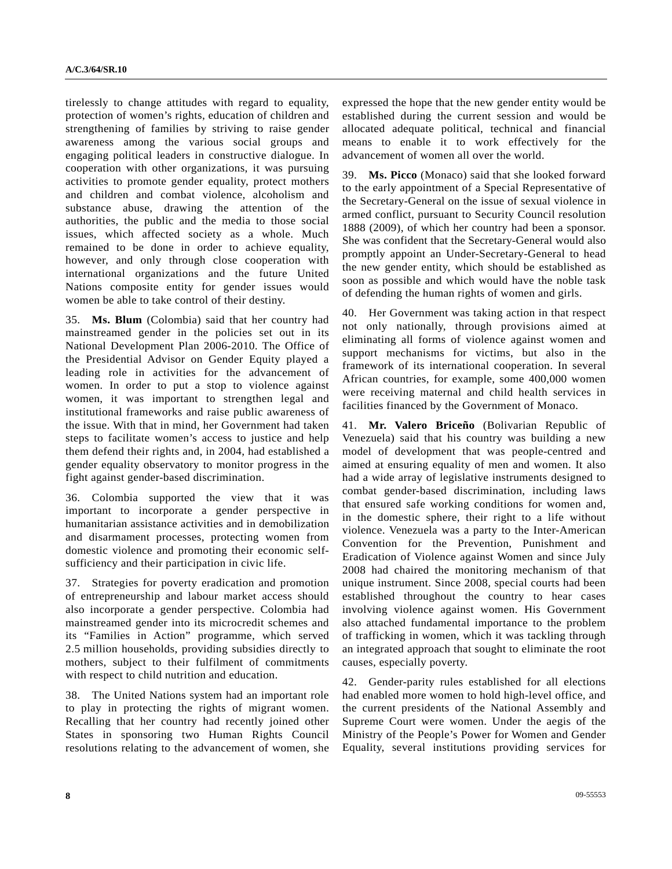tirelessly to change attitudes with regard to equality, protection of women's rights, education of children and strengthening of families by striving to raise gender awareness among the various social groups and engaging political leaders in constructive dialogue. In cooperation with other organizations, it was pursuing activities to promote gender equality, protect mothers and children and combat violence, alcoholism and substance abuse, drawing the attention of the authorities, the public and the media to those social issues, which affected society as a whole. Much remained to be done in order to achieve equality, however, and only through close cooperation with international organizations and the future United Nations composite entity for gender issues would women be able to take control of their destiny.

35. **Ms. Blum** (Colombia) said that her country had mainstreamed gender in the policies set out in its National Development Plan 2006-2010. The Office of the Presidential Advisor on Gender Equity played a leading role in activities for the advancement of women. In order to put a stop to violence against women, it was important to strengthen legal and institutional frameworks and raise public awareness of the issue. With that in mind, her Government had taken steps to facilitate women's access to justice and help them defend their rights and, in 2004, had established a gender equality observatory to monitor progress in the fight against gender-based discrimination.

36. Colombia supported the view that it was important to incorporate a gender perspective in humanitarian assistance activities and in demobilization and disarmament processes, protecting women from domestic violence and promoting their economic selfsufficiency and their participation in civic life.

37. Strategies for poverty eradication and promotion of entrepreneurship and labour market access should also incorporate a gender perspective. Colombia had mainstreamed gender into its microcredit schemes and its "Families in Action" programme, which served 2.5 million households, providing subsidies directly to mothers, subject to their fulfilment of commitments with respect to child nutrition and education.

38. The United Nations system had an important role to play in protecting the rights of migrant women. Recalling that her country had recently joined other States in sponsoring two Human Rights Council resolutions relating to the advancement of women, she expressed the hope that the new gender entity would be established during the current session and would be allocated adequate political, technical and financial means to enable it to work effectively for the advancement of women all over the world.

39. **Ms. Picco** (Monaco) said that she looked forward to the early appointment of a Special Representative of the Secretary-General on the issue of sexual violence in armed conflict, pursuant to Security Council resolution 1888 (2009), of which her country had been a sponsor. She was confident that the Secretary-General would also promptly appoint an Under-Secretary-General to head the new gender entity, which should be established as soon as possible and which would have the noble task of defending the human rights of women and girls.

40. Her Government was taking action in that respect not only nationally, through provisions aimed at eliminating all forms of violence against women and support mechanisms for victims, but also in the framework of its international cooperation. In several African countries, for example, some 400,000 women were receiving maternal and child health services in facilities financed by the Government of Monaco.

41. **Mr. Valero Briceño** (Bolivarian Republic of Venezuela) said that his country was building a new model of development that was people-centred and aimed at ensuring equality of men and women. It also had a wide array of legislative instruments designed to combat gender-based discrimination, including laws that ensured safe working conditions for women and, in the domestic sphere, their right to a life without violence. Venezuela was a party to the Inter-American Convention for the Prevention, Punishment and Eradication of Violence against Women and since July 2008 had chaired the monitoring mechanism of that unique instrument. Since 2008, special courts had been established throughout the country to hear cases involving violence against women. His Government also attached fundamental importance to the problem of trafficking in women, which it was tackling through an integrated approach that sought to eliminate the root causes, especially poverty.

42. Gender-parity rules established for all elections had enabled more women to hold high-level office, and the current presidents of the National Assembly and Supreme Court were women. Under the aegis of the Ministry of the People's Power for Women and Gender Equality, several institutions providing services for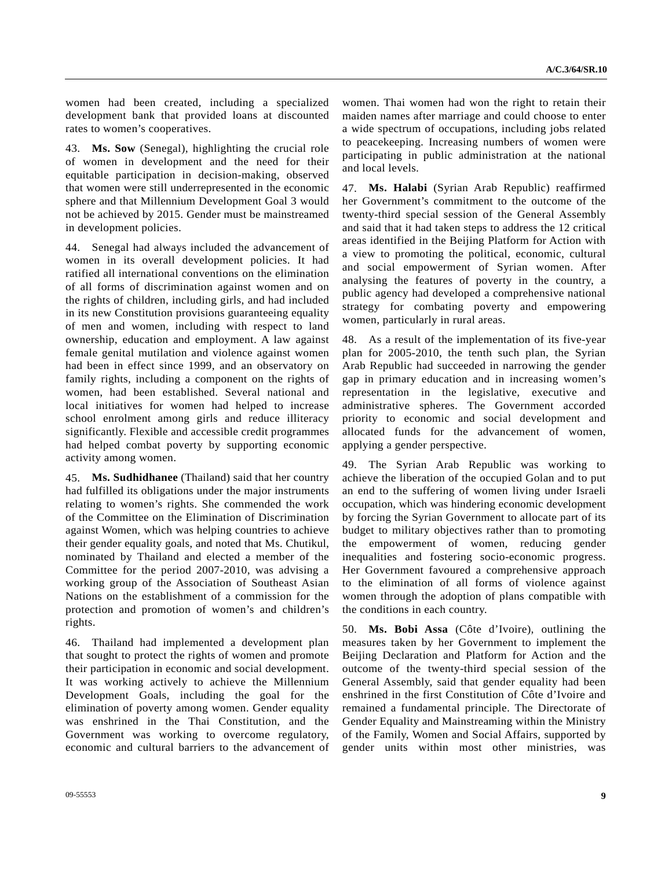women had been created, including a specialized development bank that provided loans at discounted rates to women's cooperatives.

43. **Ms. Sow** (Senegal), highlighting the crucial role of women in development and the need for their equitable participation in decision-making, observed that women were still underrepresented in the economic sphere and that Millennium Development Goal 3 would not be achieved by 2015. Gender must be mainstreamed in development policies.

44. Senegal had always included the advancement of women in its overall development policies. It had ratified all international conventions on the elimination of all forms of discrimination against women and on the rights of children, including girls, and had included in its new Constitution provisions guaranteeing equality of men and women, including with respect to land ownership, education and employment. A law against female genital mutilation and violence against women had been in effect since 1999, and an observatory on family rights, including a component on the rights of women, had been established. Several national and local initiatives for women had helped to increase school enrolment among girls and reduce illiteracy significantly. Flexible and accessible credit programmes had helped combat poverty by supporting economic activity among women.

45. **Ms. Sudhidhanee** (Thailand) said that her country had fulfilled its obligations under the major instruments relating to women's rights. She commended the work of the Committee on the Elimination of Discrimination against Women, which was helping countries to achieve their gender equality goals, and noted that Ms. Chutikul, nominated by Thailand and elected a member of the Committee for the period 2007-2010, was advising a working group of the Association of Southeast Asian Nations on the establishment of a commission for the protection and promotion of women's and children's rights.

46. Thailand had implemented a development plan that sought to protect the rights of women and promote their participation in economic and social development. It was working actively to achieve the Millennium Development Goals, including the goal for the elimination of poverty among women. Gender equality was enshrined in the Thai Constitution, and the Government was working to overcome regulatory, economic and cultural barriers to the advancement of women. Thai women had won the right to retain their maiden names after marriage and could choose to enter a wide spectrum of occupations, including jobs related to peacekeeping. Increasing numbers of women were participating in public administration at the national and local levels.

47. **Ms. Halabi** (Syrian Arab Republic) reaffirmed her Government's commitment to the outcome of the twenty-third special session of the General Assembly and said that it had taken steps to address the 12 critical areas identified in the Beijing Platform for Action with a view to promoting the political, economic, cultural and social empowerment of Syrian women. After analysing the features of poverty in the country, a public agency had developed a comprehensive national strategy for combating poverty and empowering women, particularly in rural areas.

48. As a result of the implementation of its five-year plan for 2005-2010, the tenth such plan, the Syrian Arab Republic had succeeded in narrowing the gender gap in primary education and in increasing women's representation in the legislative, executive and administrative spheres. The Government accorded priority to economic and social development and allocated funds for the advancement of women, applying a gender perspective.

49. The Syrian Arab Republic was working to achieve the liberation of the occupied Golan and to put an end to the suffering of women living under Israeli occupation, which was hindering economic development by forcing the Syrian Government to allocate part of its budget to military objectives rather than to promoting the empowerment of women, reducing gender inequalities and fostering socio-economic progress. Her Government favoured a comprehensive approach to the elimination of all forms of violence against women through the adoption of plans compatible with the conditions in each country.

50. **Ms. Bobi Assa** (Côte d'Ivoire), outlining the measures taken by her Government to implement the Beijing Declaration and Platform for Action and the outcome of the twenty-third special session of the General Assembly, said that gender equality had been enshrined in the first Constitution of Côte d'Ivoire and remained a fundamental principle. The Directorate of Gender Equality and Mainstreaming within the Ministry of the Family, Women and Social Affairs, supported by gender units within most other ministries, was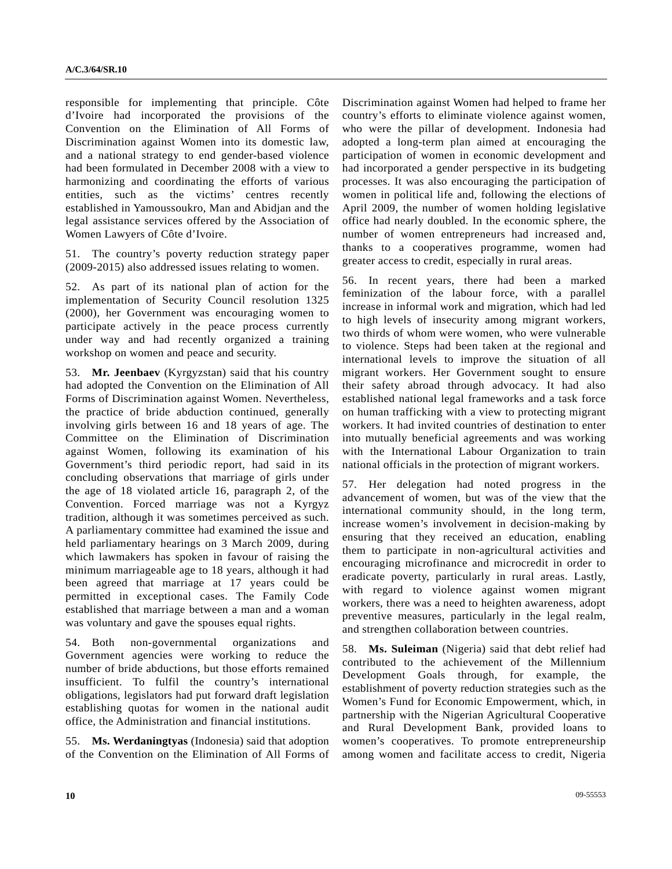responsible for implementing that principle. Côte d'Ivoire had incorporated the provisions of the Convention on the Elimination of All Forms of Discrimination against Women into its domestic law, and a national strategy to end gender-based violence had been formulated in December 2008 with a view to harmonizing and coordinating the efforts of various entities, such as the victims' centres recently established in Yamoussoukro, Man and Abidjan and the legal assistance services offered by the Association of Women Lawyers of Côte d'Ivoire.

51. The country's poverty reduction strategy paper (2009-2015) also addressed issues relating to women.

52. As part of its national plan of action for the implementation of Security Council resolution 1325 (2000), her Government was encouraging women to participate actively in the peace process currently under way and had recently organized a training workshop on women and peace and security.

53. **Mr. Jeenbaev** (Kyrgyzstan) said that his country had adopted the Convention on the Elimination of All Forms of Discrimination against Women. Nevertheless, the practice of bride abduction continued, generally involving girls between 16 and 18 years of age. The Committee on the Elimination of Discrimination against Women, following its examination of his Government's third periodic report, had said in its concluding observations that marriage of girls under the age of 18 violated article 16, paragraph 2, of the Convention. Forced marriage was not a Kyrgyz tradition, although it was sometimes perceived as such. A parliamentary committee had examined the issue and held parliamentary hearings on 3 March 2009, during which lawmakers has spoken in favour of raising the minimum marriageable age to 18 years, although it had been agreed that marriage at 17 years could be permitted in exceptional cases. The Family Code established that marriage between a man and a woman was voluntary and gave the spouses equal rights.

54. Both non-governmental organizations and Government agencies were working to reduce the number of bride abductions, but those efforts remained insufficient. To fulfil the country's international obligations, legislators had put forward draft legislation establishing quotas for women in the national audit office, the Administration and financial institutions.

55. **Ms. Werdaningtyas** (Indonesia) said that adoption of the Convention on the Elimination of All Forms of Discrimination against Women had helped to frame her country's efforts to eliminate violence against women, who were the pillar of development. Indonesia had adopted a long-term plan aimed at encouraging the participation of women in economic development and had incorporated a gender perspective in its budgeting processes. It was also encouraging the participation of women in political life and, following the elections of April 2009, the number of women holding legislative office had nearly doubled. In the economic sphere, the number of women entrepreneurs had increased and, thanks to a cooperatives programme, women had greater access to credit, especially in rural areas.

56. In recent years, there had been a marked feminization of the labour force, with a parallel increase in informal work and migration, which had led to high levels of insecurity among migrant workers, two thirds of whom were women, who were vulnerable to violence. Steps had been taken at the regional and international levels to improve the situation of all migrant workers. Her Government sought to ensure their safety abroad through advocacy. It had also established national legal frameworks and a task force on human trafficking with a view to protecting migrant workers. It had invited countries of destination to enter into mutually beneficial agreements and was working with the International Labour Organization to train national officials in the protection of migrant workers.

57. Her delegation had noted progress in the advancement of women, but was of the view that the international community should, in the long term, increase women's involvement in decision-making by ensuring that they received an education, enabling them to participate in non-agricultural activities and encouraging microfinance and microcredit in order to eradicate poverty, particularly in rural areas. Lastly, with regard to violence against women migrant workers, there was a need to heighten awareness, adopt preventive measures, particularly in the legal realm, and strengthen collaboration between countries.

58. **Ms. Suleiman** (Nigeria) said that debt relief had contributed to the achievement of the Millennium Development Goals through, for example, the establishment of poverty reduction strategies such as the Women's Fund for Economic Empowerment, which, in partnership with the Nigerian Agricultural Cooperative and Rural Development Bank, provided loans to women's cooperatives. To promote entrepreneurship among women and facilitate access to credit, Nigeria